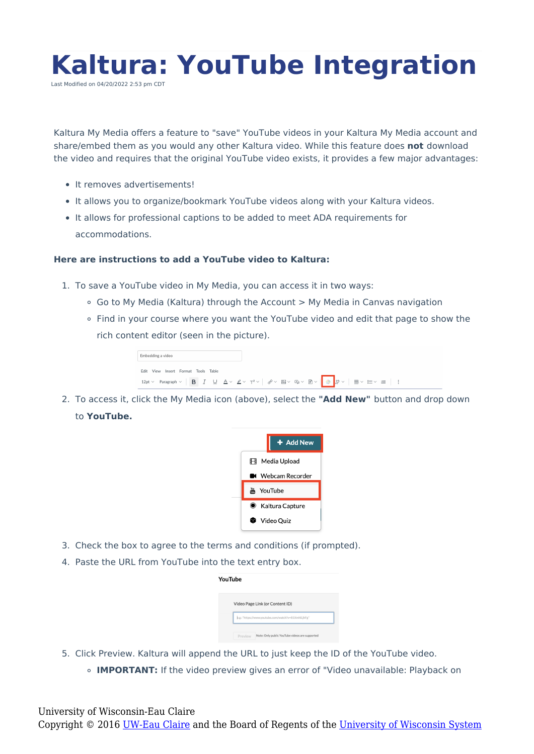

Kaltura My Media offers a feature to "save" YouTube videos in your Kaltura My Media account and share/embed them as you would any other Kaltura video. While this feature does **not** download the video and requires that the original YouTube video exists, it provides a few major advantages:

- **•** It removes advertisements!
- It allows you to organize/bookmark YouTube videos along with your Kaltura videos.
- It allows for professional captions to be added to meet ADA requirements for accommodations.

## **Here are instructions to add a YouTube video to Kaltura:**

- 1. To save a YouTube video in My Media, you can access it in two ways:
	- Go to My Media (Kaltura) through the Account > My Media in Canvas navigation
	- Find in your course where you want the YouTube video and edit that page to show the rich content editor (seen in the picture).

| Embedding a video                   |       |  |  |  |  |  |  |  |
|-------------------------------------|-------|--|--|--|--|--|--|--|
| View<br>Insert Format Tools<br>Fdit | Table |  |  |  |  |  |  |  |
|                                     |       |  |  |  |  |  |  |  |

2. To access it, click the My Media icon (above), select the **"Add New"** button and drop down to **YouTube.**



- 3. Check the box to agree to the terms and conditions (if prompted).
- 4. Paste the URL from YouTube into the text entry box.

| YouTube |                                                     |                                                |  |  |  |
|---------|-----------------------------------------------------|------------------------------------------------|--|--|--|
|         |                                                     | Video Page Link (or Content ID)                |  |  |  |
|         | e.g.: "https://www.youtube.com/watch?v=81XmhlLjhFg" |                                                |  |  |  |
|         | Preview                                             | Note: Only public YouTube videos are supported |  |  |  |

- 5. Click Preview. Kaltura will append the URL to just keep the ID of the YouTube video.
	- **IMPORTANT:** If the video preview gives an error of "Video unavailable: Playback on